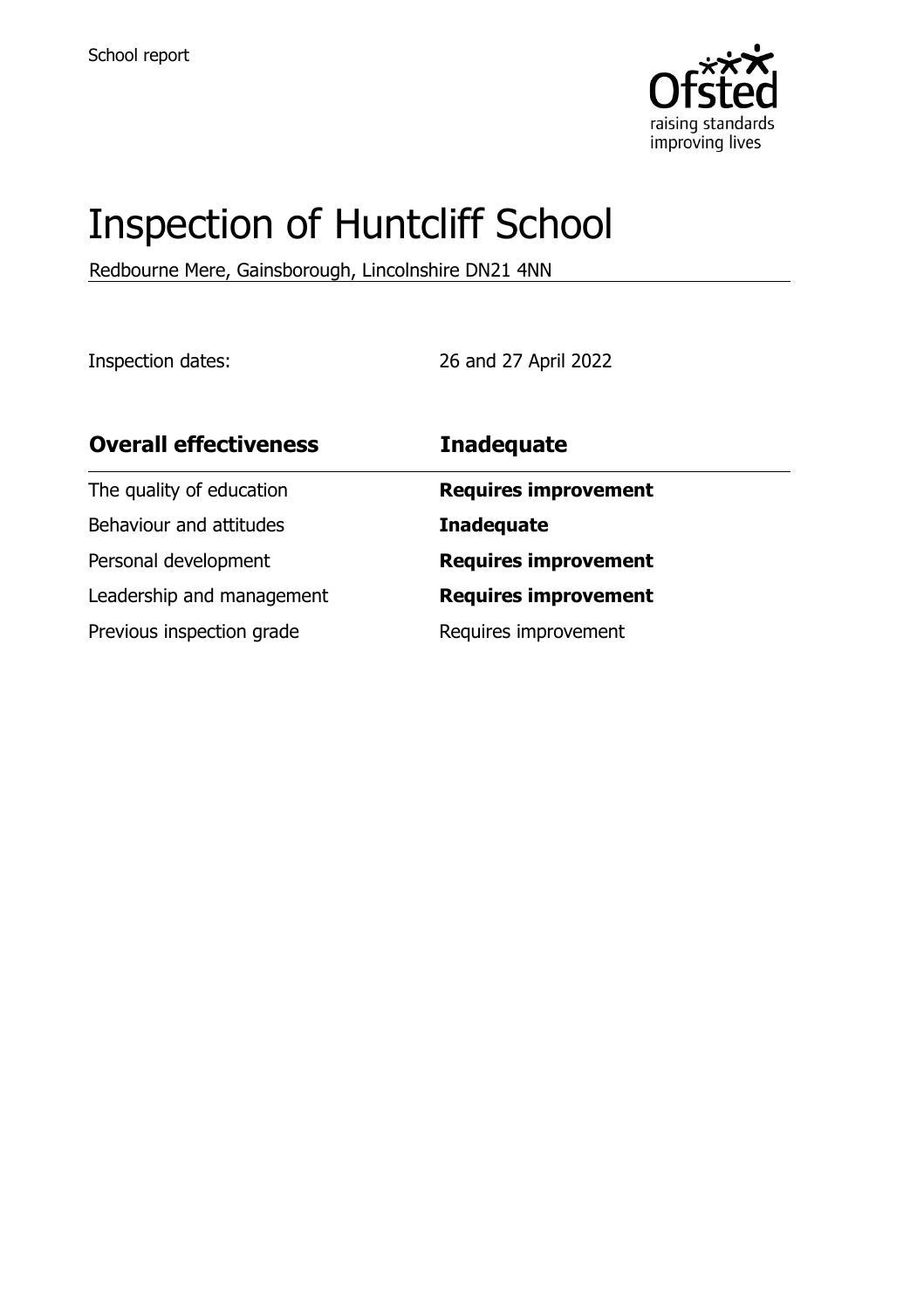

# Inspection of Huntcliff School

Redbourne Mere, Gainsborough, Lincolnshire DN21 4NN

Inspection dates: 26 and 27 April 2022

| <b>Overall effectiveness</b> | <b>Inadequate</b>           |
|------------------------------|-----------------------------|
| The quality of education     | <b>Requires improvement</b> |
| Behaviour and attitudes      | <b>Inadequate</b>           |
| Personal development         | <b>Requires improvement</b> |
| Leadership and management    | <b>Requires improvement</b> |
| Previous inspection grade    | Requires improvement        |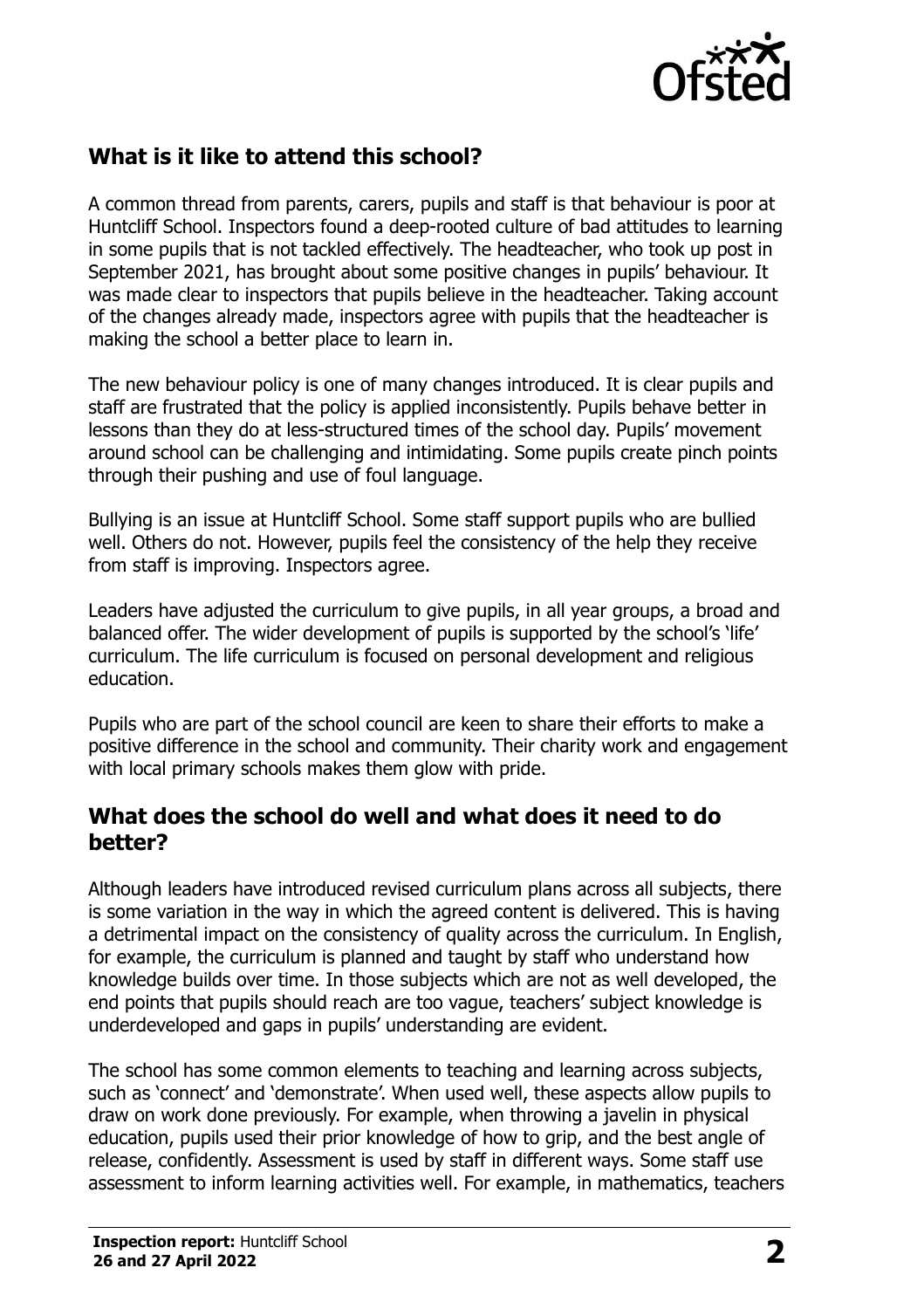

## **What is it like to attend this school?**

A common thread from parents, carers, pupils and staff is that behaviour is poor at Huntcliff School. Inspectors found a deep-rooted culture of bad attitudes to learning in some pupils that is not tackled effectively. The headteacher, who took up post in September 2021, has brought about some positive changes in pupils' behaviour. It was made clear to inspectors that pupils believe in the headteacher. Taking account of the changes already made, inspectors agree with pupils that the headteacher is making the school a better place to learn in.

The new behaviour policy is one of many changes introduced. It is clear pupils and staff are frustrated that the policy is applied inconsistently. Pupils behave better in lessons than they do at less-structured times of the school day. Pupils' movement around school can be challenging and intimidating. Some pupils create pinch points through their pushing and use of foul language.

Bullying is an issue at Huntcliff School. Some staff support pupils who are bullied well. Others do not. However, pupils feel the consistency of the help they receive from staff is improving. Inspectors agree.

Leaders have adjusted the curriculum to give pupils, in all year groups, a broad and balanced offer. The wider development of pupils is supported by the school's 'life' curriculum. The life curriculum is focused on personal development and religious education.

Pupils who are part of the school council are keen to share their efforts to make a positive difference in the school and community. Their charity work and engagement with local primary schools makes them glow with pride.

#### **What does the school do well and what does it need to do better?**

Although leaders have introduced revised curriculum plans across all subjects, there is some variation in the way in which the agreed content is delivered. This is having a detrimental impact on the consistency of quality across the curriculum. In English, for example, the curriculum is planned and taught by staff who understand how knowledge builds over time. In those subjects which are not as well developed, the end points that pupils should reach are too vague, teachers' subject knowledge is underdeveloped and gaps in pupils' understanding are evident.

The school has some common elements to teaching and learning across subjects, such as 'connect' and 'demonstrate'. When used well, these aspects allow pupils to draw on work done previously. For example, when throwing a javelin in physical education, pupils used their prior knowledge of how to grip, and the best angle of release, confidently. Assessment is used by staff in different ways. Some staff use assessment to inform learning activities well. For example, in mathematics, teachers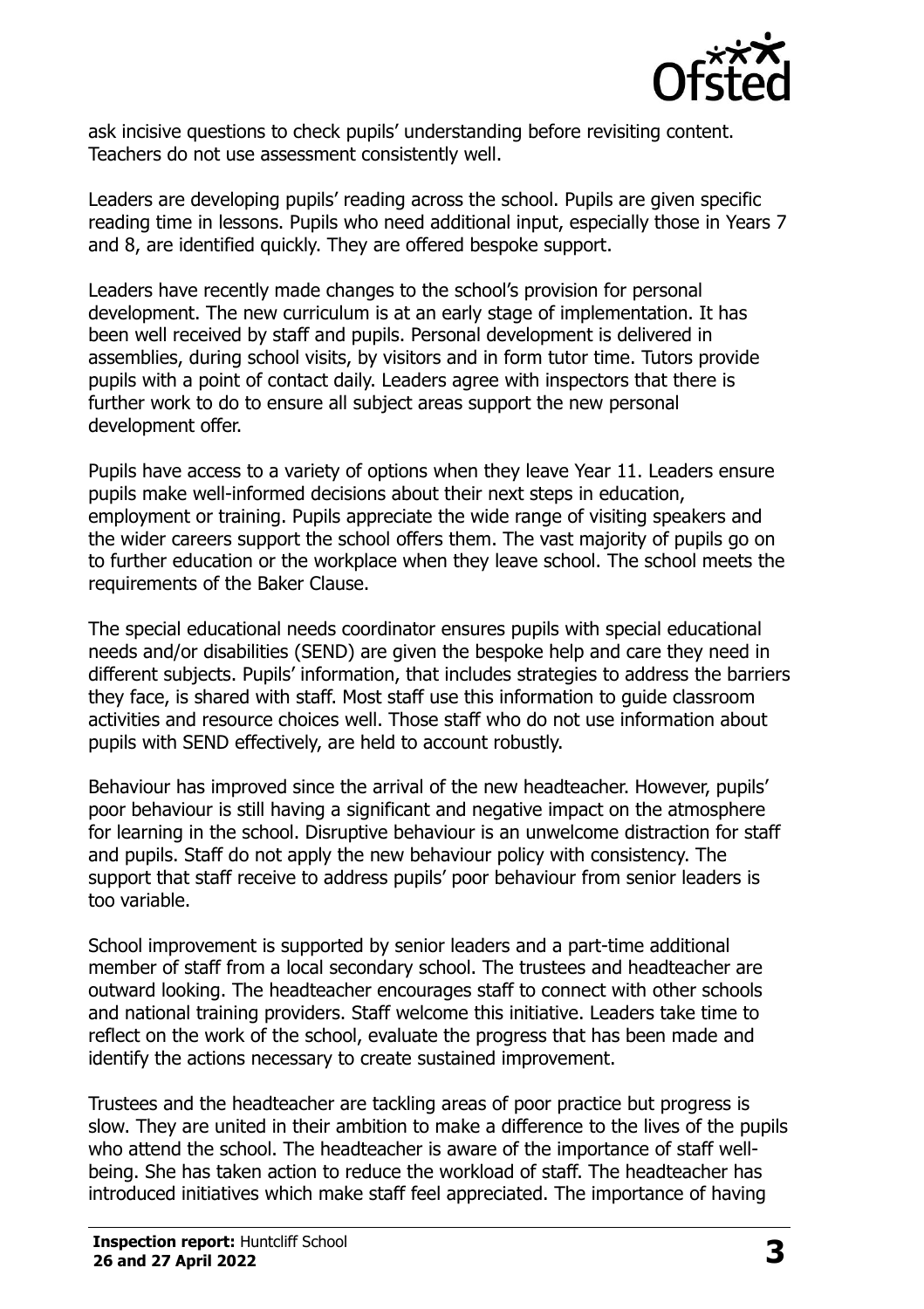

ask incisive questions to check pupils' understanding before revisiting content. Teachers do not use assessment consistently well.

Leaders are developing pupils' reading across the school. Pupils are given specific reading time in lessons. Pupils who need additional input, especially those in Years 7 and 8, are identified quickly. They are offered bespoke support.

Leaders have recently made changes to the school's provision for personal development. The new curriculum is at an early stage of implementation. It has been well received by staff and pupils. Personal development is delivered in assemblies, during school visits, by visitors and in form tutor time. Tutors provide pupils with a point of contact daily. Leaders agree with inspectors that there is further work to do to ensure all subject areas support the new personal development offer.

Pupils have access to a variety of options when they leave Year 11. Leaders ensure pupils make well-informed decisions about their next steps in education, employment or training. Pupils appreciate the wide range of visiting speakers and the wider careers support the school offers them. The vast majority of pupils go on to further education or the workplace when they leave school. The school meets the requirements of the Baker Clause.

The special educational needs coordinator ensures pupils with special educational needs and/or disabilities (SEND) are given the bespoke help and care they need in different subjects. Pupils' information, that includes strategies to address the barriers they face, is shared with staff. Most staff use this information to guide classroom activities and resource choices well. Those staff who do not use information about pupils with SEND effectively, are held to account robustly.

Behaviour has improved since the arrival of the new headteacher. However, pupils' poor behaviour is still having a significant and negative impact on the atmosphere for learning in the school. Disruptive behaviour is an unwelcome distraction for staff and pupils. Staff do not apply the new behaviour policy with consistency. The support that staff receive to address pupils' poor behaviour from senior leaders is too variable.

School improvement is supported by senior leaders and a part-time additional member of staff from a local secondary school. The trustees and headteacher are outward looking. The headteacher encourages staff to connect with other schools and national training providers. Staff welcome this initiative. Leaders take time to reflect on the work of the school, evaluate the progress that has been made and identify the actions necessary to create sustained improvement.

Trustees and the headteacher are tackling areas of poor practice but progress is slow. They are united in their ambition to make a difference to the lives of the pupils who attend the school. The headteacher is aware of the importance of staff wellbeing. She has taken action to reduce the workload of staff. The headteacher has introduced initiatives which make staff feel appreciated. The importance of having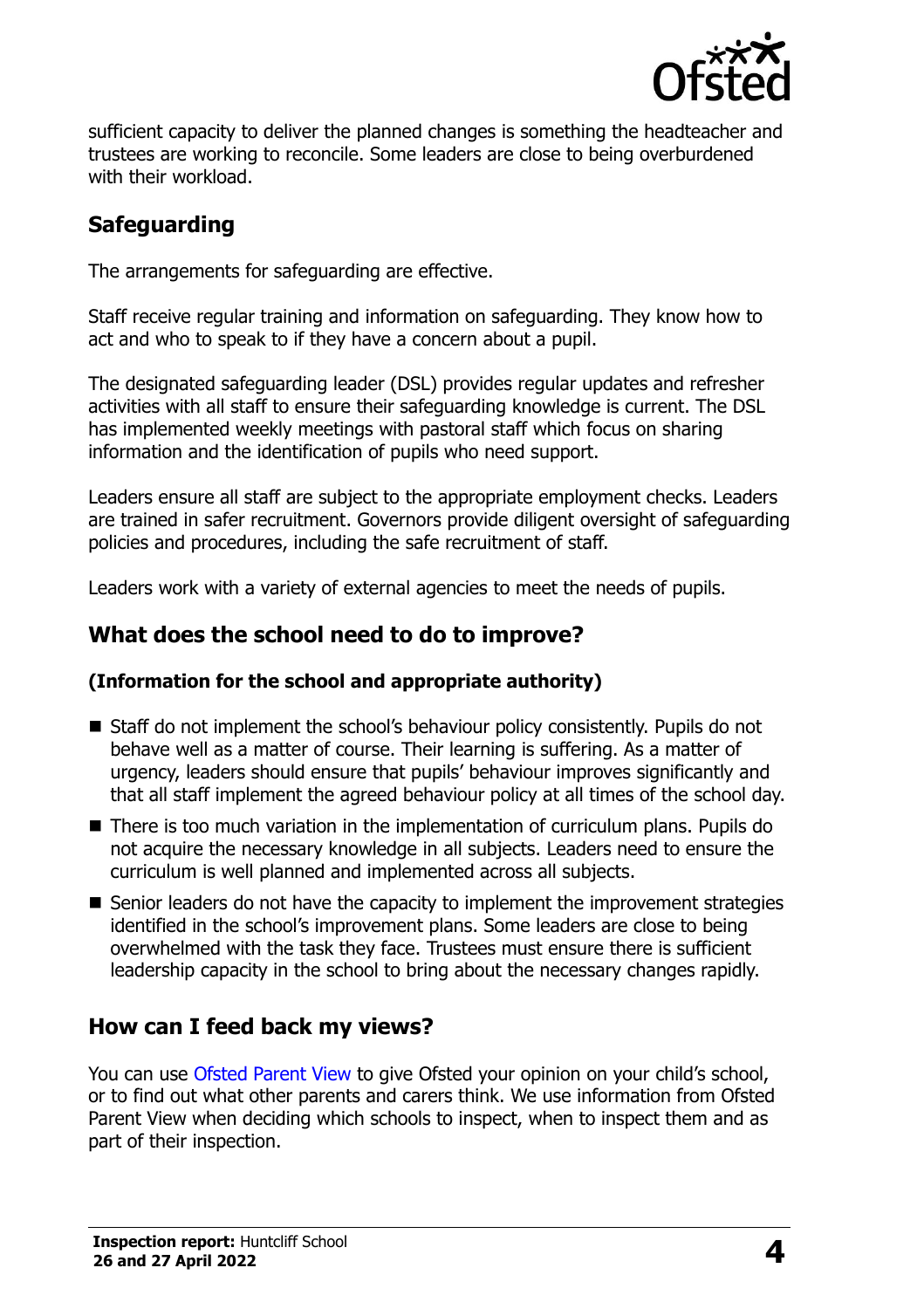

sufficient capacity to deliver the planned changes is something the headteacher and trustees are working to reconcile. Some leaders are close to being overburdened with their workload.

# **Safeguarding**

The arrangements for safeguarding are effective.

Staff receive regular training and information on safeguarding. They know how to act and who to speak to if they have a concern about a pupil.

The designated safeguarding leader (DSL) provides regular updates and refresher activities with all staff to ensure their safeguarding knowledge is current. The DSL has implemented weekly meetings with pastoral staff which focus on sharing information and the identification of pupils who need support.

Leaders ensure all staff are subject to the appropriate employment checks. Leaders are trained in safer recruitment. Governors provide diligent oversight of safeguarding policies and procedures, including the safe recruitment of staff.

Leaders work with a variety of external agencies to meet the needs of pupils.

## **What does the school need to do to improve?**

#### **(Information for the school and appropriate authority)**

- Staff do not implement the school's behaviour policy consistently. Pupils do not behave well as a matter of course. Their learning is suffering. As a matter of urgency, leaders should ensure that pupils' behaviour improves significantly and that all staff implement the agreed behaviour policy at all times of the school day.
- There is too much variation in the implementation of curriculum plans. Pupils do not acquire the necessary knowledge in all subjects. Leaders need to ensure the curriculum is well planned and implemented across all subjects.
- Senior leaders do not have the capacity to implement the improvement strategies identified in the school's improvement plans. Some leaders are close to being overwhelmed with the task they face. Trustees must ensure there is sufficient leadership capacity in the school to bring about the necessary changes rapidly.

## **How can I feed back my views?**

You can use [Ofsted Parent View](http://parentview.ofsted.gov.uk/) to give Ofsted your opinion on your child's school, or to find out what other parents and carers think. We use information from Ofsted Parent View when deciding which schools to inspect, when to inspect them and as part of their inspection.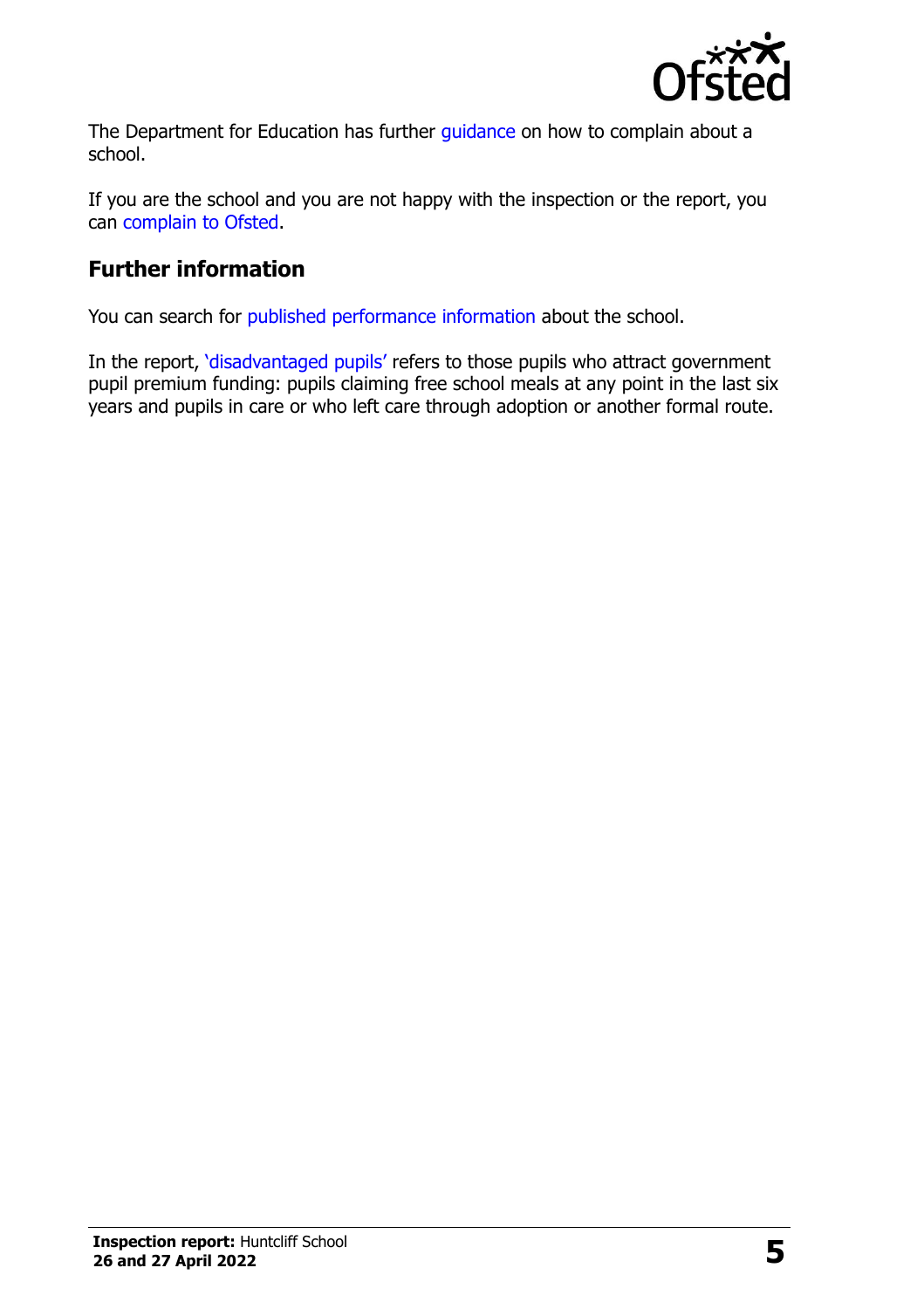

The Department for Education has further quidance on how to complain about a school.

If you are the school and you are not happy with the inspection or the report, you can [complain to Ofsted.](http://www.gov.uk/complain-ofsted-report)

## **Further information**

You can search for [published performance information](http://www.compare-school-performance.service.gov.uk/) about the school.

In the report, '[disadvantaged pupils](http://www.gov.uk/guidance/pupil-premium-information-for-schools-and-alternative-provision-settings)' refers to those pupils who attract government pupil premium funding: pupils claiming free school meals at any point in the last six years and pupils in care or who left care through adoption or another formal route.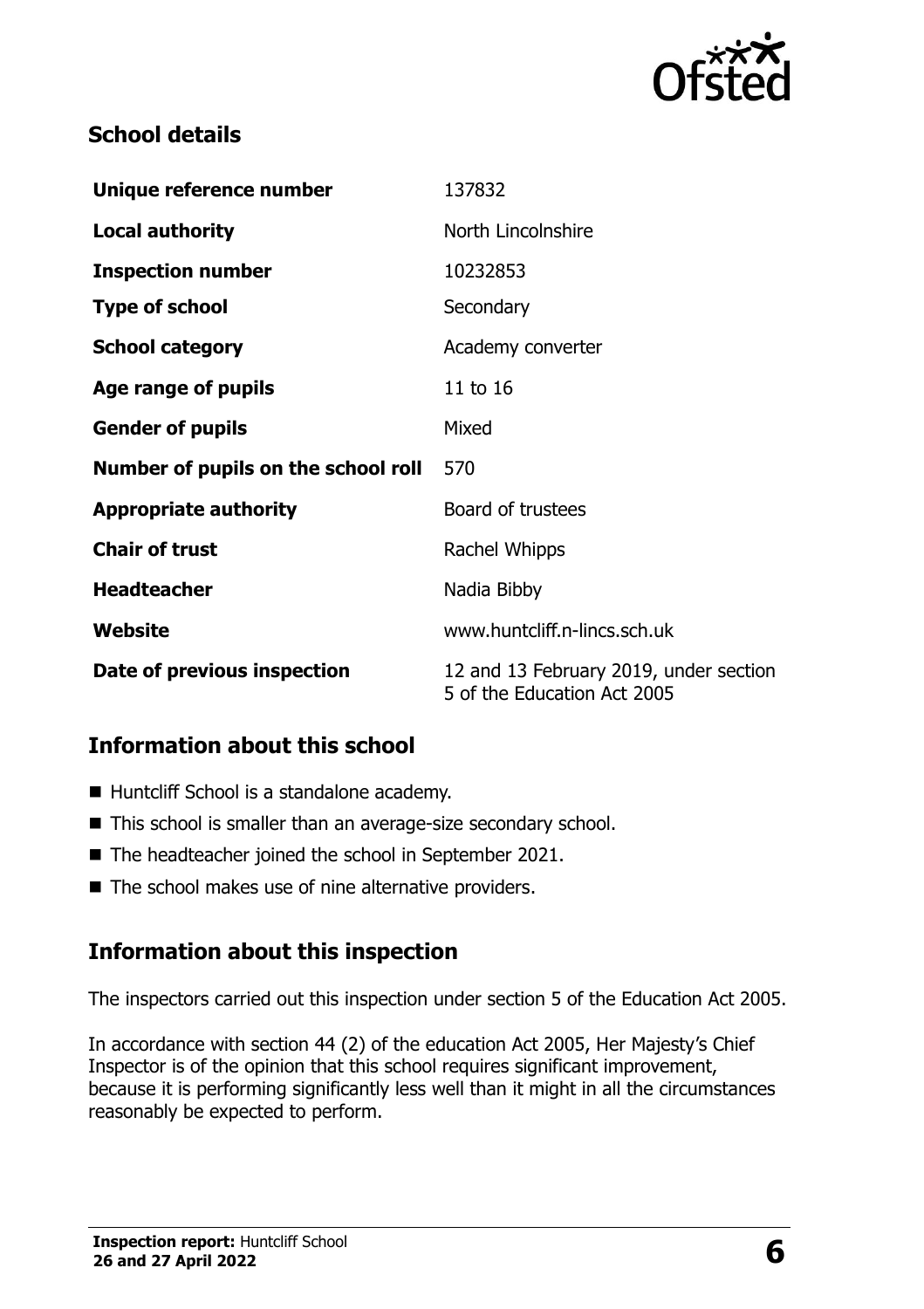

## **School details**

| Unique reference number             | 137832                                                                |  |
|-------------------------------------|-----------------------------------------------------------------------|--|
| <b>Local authority</b>              | North Lincolnshire                                                    |  |
| <b>Inspection number</b>            | 10232853                                                              |  |
| <b>Type of school</b>               | Secondary                                                             |  |
| <b>School category</b>              | Academy converter                                                     |  |
| Age range of pupils                 | 11 to 16                                                              |  |
| <b>Gender of pupils</b>             | Mixed                                                                 |  |
| Number of pupils on the school roll | 570                                                                   |  |
| <b>Appropriate authority</b>        | Board of trustees                                                     |  |
| <b>Chair of trust</b>               | Rachel Whipps                                                         |  |
| <b>Headteacher</b>                  | Nadia Bibby                                                           |  |
| Website                             | www.huntcliff.n-lincs.sch.uk                                          |  |
| Date of previous inspection         | 12 and 13 February 2019, under section<br>5 of the Education Act 2005 |  |

## **Information about this school**

- Huntcliff School is a standalone academy.
- This school is smaller than an average-size secondary school.
- The headteacher joined the school in September 2021.
- The school makes use of nine alternative providers.

# **Information about this inspection**

The inspectors carried out this inspection under section 5 of the Education Act 2005.

In accordance with section 44 (2) of the education Act 2005, Her Majesty's Chief Inspector is of the opinion that this school requires significant improvement, because it is performing significantly less well than it might in all the circumstances reasonably be expected to perform.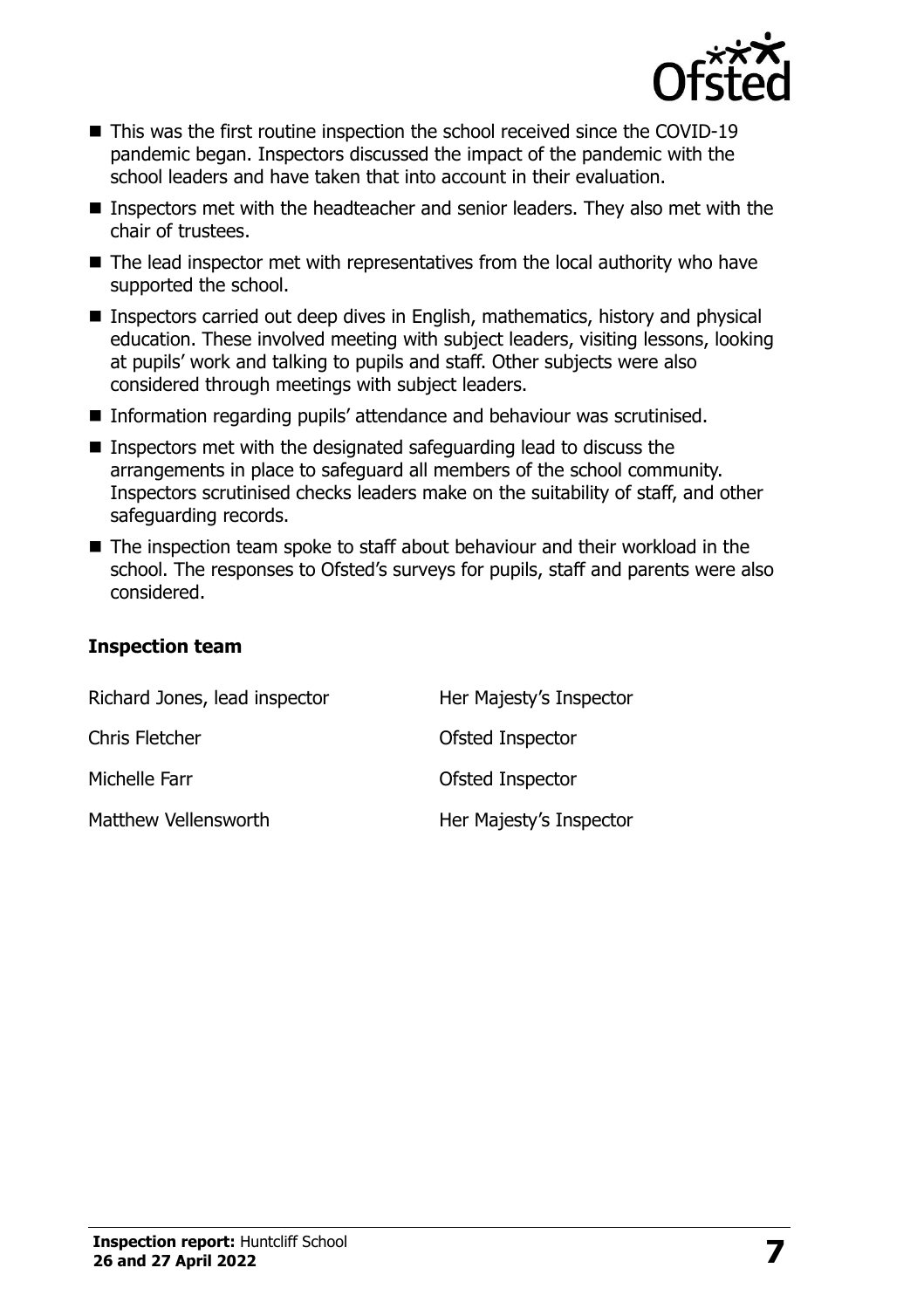

- This was the first routine inspection the school received since the COVID-19 pandemic began. Inspectors discussed the impact of the pandemic with the school leaders and have taken that into account in their evaluation.
- Inspectors met with the headteacher and senior leaders. They also met with the chair of trustees.
- The lead inspector met with representatives from the local authority who have supported the school.
- Inspectors carried out deep dives in English, mathematics, history and physical education. These involved meeting with subject leaders, visiting lessons, looking at pupils' work and talking to pupils and staff. Other subjects were also considered through meetings with subject leaders.
- Information regarding pupils' attendance and behaviour was scrutinised.
- Inspectors met with the designated safeguarding lead to discuss the arrangements in place to safeguard all members of the school community. Inspectors scrutinised checks leaders make on the suitability of staff, and other safeguarding records.
- The inspection team spoke to staff about behaviour and their workload in the school. The responses to Ofsted's surveys for pupils, staff and parents were also considered.

#### **Inspection team**

| Richard Jones, lead inspector | Her Majesty's Inspector |
|-------------------------------|-------------------------|
| <b>Chris Fletcher</b>         | <b>Ofsted Inspector</b> |
| Michelle Farr                 | Ofsted Inspector        |
| Matthew Vellensworth          | Her Majesty's Inspector |